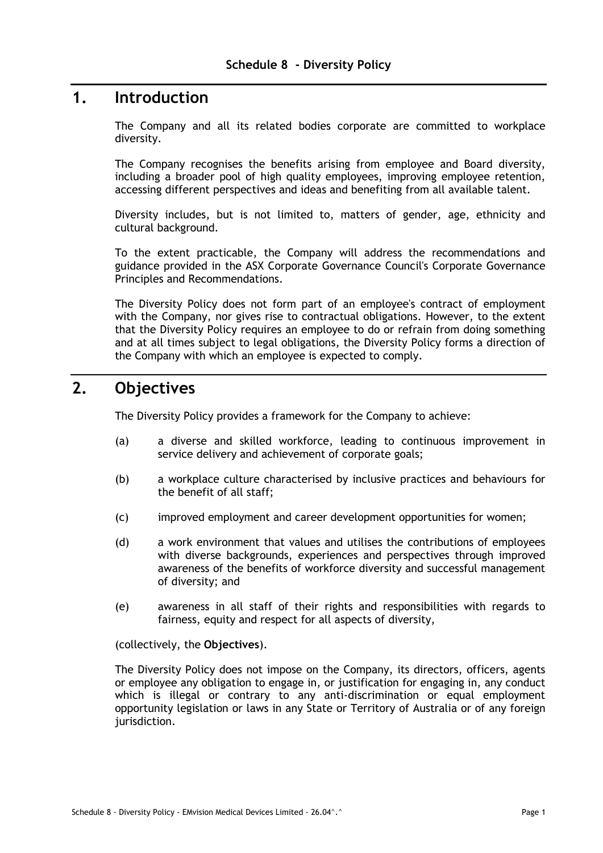### **1. Introduction**

The Company and all its related bodies corporate are committed to workplace diversity.

The Company recognises the benefits arising from employee and Board diversity, including a broader pool of high quality employees, improving employee retention, accessing different perspectives and ideas and benefiting from all available talent.

Diversity includes, but is not limited to, matters of gender, age, ethnicity and cultural background.

To the extent practicable, the Company will address the recommendations and guidance provided in the ASX Corporate Governance Council's Corporate Governance Principles and Recommendations.

The Diversity Policy does not form part of an employee's contract of employment with the Company, nor gives rise to contractual obligations. However, to the extent that the Diversity Policy requires an employee to do or refrain from doing something and at all times subject to legal obligations, the Diversity Policy forms a direction of the Company with which an employee is expected to comply.

### **2. Objectives**

The Diversity Policy provides a framework for the Company to achieve:

- (a) a diverse and skilled workforce, leading to continuous improvement in service delivery and achievement of corporate goals;
- (b) a workplace culture characterised by inclusive practices and behaviours for the benefit of all staff;
- (c) improved employment and career development opportunities for women;
- (d) a work environment that values and utilises the contributions of employees with diverse backgrounds, experiences and perspectives through improved awareness of the benefits of workforce diversity and successful management of diversity; and
- (e) awareness in all staff of their rights and responsibilities with regards to fairness, equity and respect for all aspects of diversity,

(collectively, the **Objectives**).

The Diversity Policy does not impose on the Company, its directors, officers, agents or employee any obligation to engage in, or justification for engaging in, any conduct which is illegal or contrary to any anti-discrimination or equal employment opportunity legislation or laws in any State or Territory of Australia or of any foreign jurisdiction.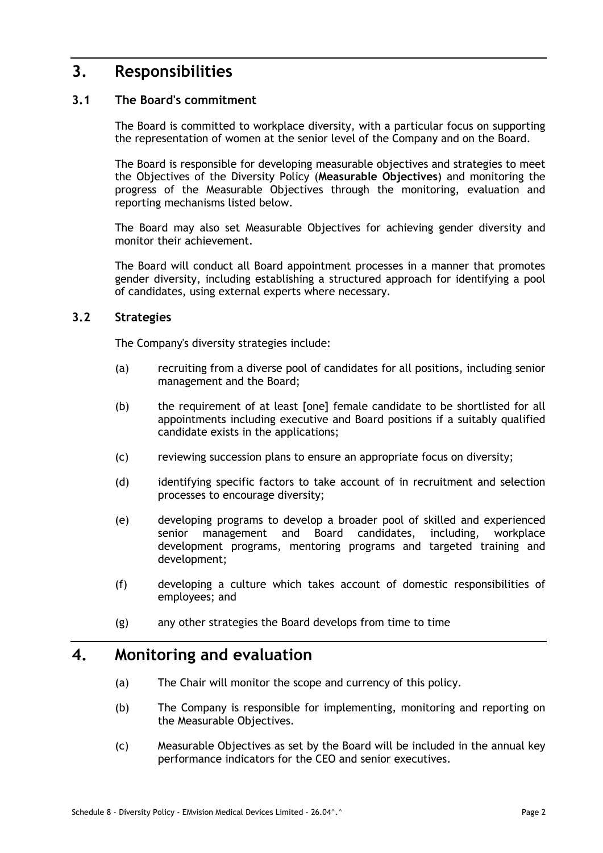## **3. Responsibilities**

#### **3.1 The Board's commitment**

The Board is committed to workplace diversity, with a particular focus on supporting the representation of women at the senior level of the Company and on the Board.

The Board is responsible for developing measurable objectives and strategies to meet the Objectives of the Diversity Policy (**Measurable Objectives**) and monitoring the progress of the Measurable Objectives through the monitoring, evaluation and reporting mechanisms listed below.

The Board may also set Measurable Objectives for achieving gender diversity and monitor their achievement.

The Board will conduct all Board appointment processes in a manner that promotes gender diversity, including establishing a structured approach for identifying a pool of candidates, using external experts where necessary.

#### **3.2 Strategies**

The Company's diversity strategies include:

- (a) recruiting from a diverse pool of candidates for all positions, including senior management and the Board;
- (b) the requirement of at least [one] female candidate to be shortlisted for all appointments including executive and Board positions if a suitably qualified candidate exists in the applications;
- (c) reviewing succession plans to ensure an appropriate focus on diversity;
- (d) identifying specific factors to take account of in recruitment and selection processes to encourage diversity;
- (e) developing programs to develop a broader pool of skilled and experienced senior management and Board candidates, including, workplace development programs, mentoring programs and targeted training and development;
- (f) developing a culture which takes account of domestic responsibilities of employees; and
- (g) any other strategies the Board develops from time to time

### **4. Monitoring and evaluation**

- (a) The Chair will monitor the scope and currency of this policy.
- (b) The Company is responsible for implementing, monitoring and reporting on the Measurable Objectives.
- (c) Measurable Objectives as set by the Board will be included in the annual key performance indicators for the CEO and senior executives.